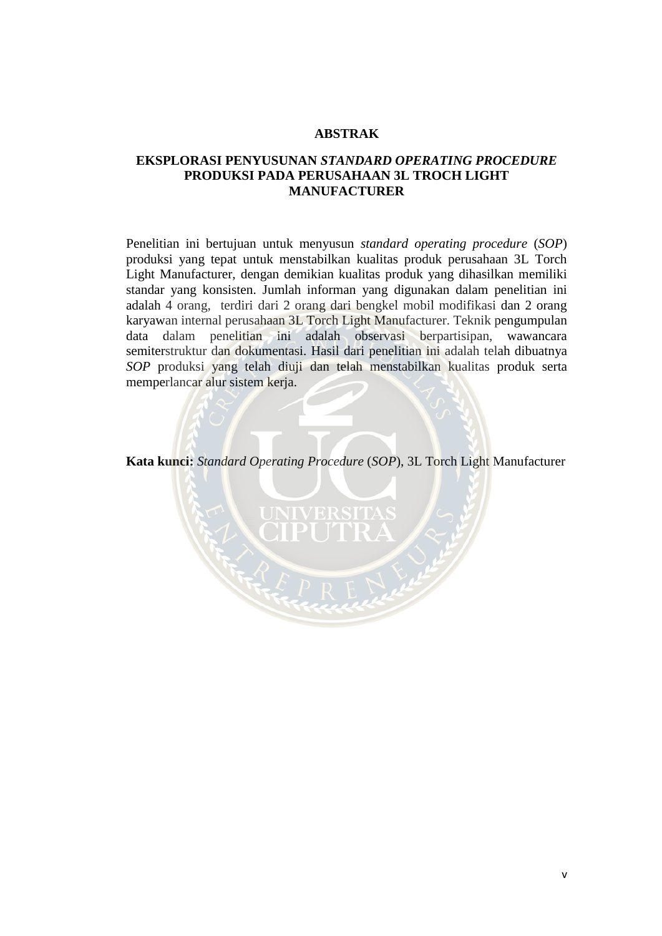## **ABSTRAK**

## **EKSPLORASI PENYUSUNAN** *STANDARD OPERATING PROCEDURE*  **PRODUKSI PADA PERUSAHAAN 3L TROCH LIGHT MANUFACTURER**

Penelitian ini bertujuan untuk menyusun *standard operating procedure* (*SOP*) produksi yang tepat untuk menstabilkan kualitas produk perusahaan 3L Torch Light Manufacturer, dengan demikian kualitas produk yang dihasilkan memiliki standar yang konsisten. Jumlah informan yang digunakan dalam penelitian ini adalah 4 orang, terdiri dari 2 orang dari bengkel mobil modifikasi dan 2 orang karyawan internal perusahaan 3L Torch Light Manufacturer. Teknik pengumpulan data dalam penelitian ini adalah observasi berpartisipan, wawancara semiterstruktur dan dokumentasi. Hasil dari penelitian ini adalah telah dibuatnya *SOP* produksi yang telah diuji dan telah menstabilkan kualitas produk serta memperlancar alur sistem kerja.

**Kata kunci:** *Standard Operating Procedure* (*SOP*), 3L Torch Light Manufacturer